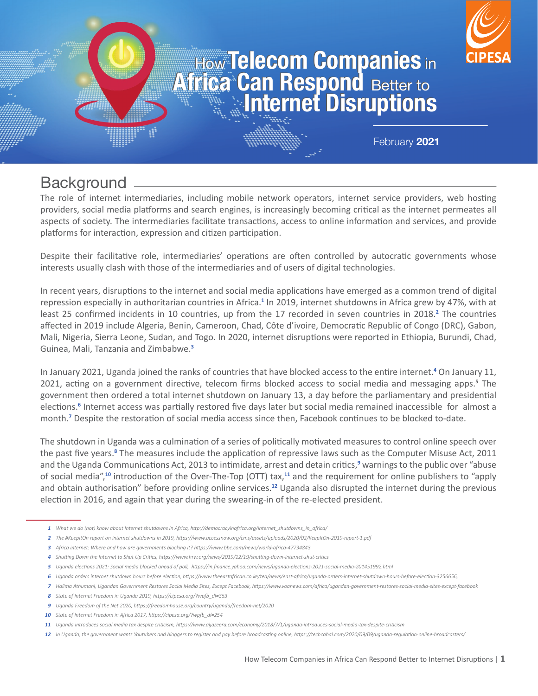#### **Africa Can Respond Better to<br>Africa Can Respond Better to<br>Internet Disruptions How ICICCOM COMPANICS in** Better to **Africa Can Respond Better to<br>Africa Can Respond Better to<br>Internet Disruptions How ICICCOM COMPANICS** in Better to

February **2021**

# **Background**

The role of internet intermediaries, including mobile network operators, internet service providers, web hosting providers, social media platforms and search engines, is increasingly becoming critical as the internet permeates all aspects of society. The intermediaries facilitate transactions, access to online information and services, and provide platforms for interaction, expression and citizen participation.

Despite their facilitative role, intermediaries' operations are often controlled by autocratic governments whose interests usually clash with those of the intermediaries and of users of digital technologies.

In recent years, disruptions to the internet and social media applications have emerged as a common trend of digital repression especially in authoritarian countries in Africa.<sup>1</sup> In 2019, internet shutdowns in Africa grew by 47%, with at least 25 confirmed incidents in 10 countries, up from the 17 recorded in seven countries in 2018.<sup>2</sup> The countries affected in 2019 include Algeria, Benin, Cameroon, Chad, Côte d'ivoire, Democratic Republic of Congo (DRC), Gabon, Mali, Nigeria, Sierra Leone, Sudan, and Togo. In 2020, internet disruptions were reported in Ethiopia, Burundi, Chad, Guinea, Mali, Tanzania and Zimbabwe.**<sup>3</sup>**

In January 2021, Uganda joined the ranks of countries that have blocked access to the entire internet.**<sup>4</sup>** On January 11, 2021, acting on a government directive, telecom firms blocked access to social media and messaging apps.**<sup>5</sup>** The government then ordered a total internet shutdown on January 13, a day before the parliamentary and presidential elections.<sup>6</sup> Internet access was partially restored five days later but social media remained inaccessible for almost a month.**<sup>7</sup>** Despite the restoration of social media access since then, Facebook continues to be blocked to-date.

The shutdown in Uganda was a culmination of a series of politically motivated measures to control online speech over the past five years.<sup>8</sup> The measures include the application of repressive laws such as the Computer Misuse Act, 2011 and the Uganda Communications Act, 2013 to intimidate, arrest and detain critics,**<sup>9</sup>** warnings to the public over "abuse of social media",**10** introduction of the Over-The-Top (OTT) tax,**11** and the requirement for online publishers to "apply and obtain authorisation" before providing online services.**12** Uganda also disrupted the internet during the previous election in 2016, and again that year during the swearing-in of the re-elected president.

- *What we do (not) know about Internet shutdowns in Africa, http://democracyinafrica.org/internet\_shutdowns\_in\_africa/ 1*
- *The #KeepItOn report on internet shutdowns in 2019, https://www.accessnow.org/cms/assets/uploads/2020/02/KeepItOn-2019-report-1.pdf 2*
- *Africa internet: Where and how are governments blocking it? https://www.bbc.com/news/world-africa-47734843 3*
- *Shutting Down the Internet to Shut Up Critics, https://www.hrw.org/news/2019/12/19/shutting-down-internet-shut-critics 4*
- *Uganda elections 2021: Social media blocked ahead of poll, https://in.finance.yahoo.com/news/uganda-elections-2021-social-media-201451992.html 5*
- *Uganda orders internet shutdown hours before election, https://www.theeastafrican.co.ke/tea/news/east-africa/uganda-orders-internet-shutdown-hours-before-election-3256656, 6*
- *Halima Athumani, Ugandan Government Restores Social Media Sites, Except Facebook, https://www.voanews.com/africa/ugandan-government-restores-social-media-sites-except-facebook 7*
- *State of Internet Freedom in Uganda 2019, https://cipesa.org/?wpfb\_dl=353 8*
- *Uganda Freedom of the Net 2020, https://freedomhouse.org/country/uganda/freedom-net/2020 9*
- *State of Internet Freedom in Africa 2017, https://cipesa.org/?wpfb\_dl=254 10*
- *Uganda introduces social media tax despite criticism, https://www.aljazeera.com/economy/2018/7/1/uganda-introduces-social-media-tax-despite-criticism 11*
- *In Uganda, the government wants Youtubers and bloggers to register and pay before broadcasting online, https://techcabal.com/2020/09/09/uganda-regulation-online-broadcasters/ 12*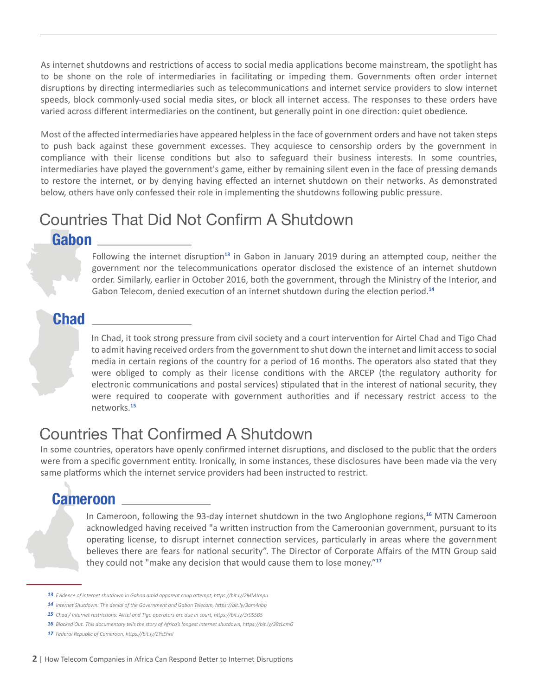As internet shutdowns and restrictions of access to social media applications become mainstream, the spotlight has to be shone on the role of intermediaries in facilitating or impeding them. Governments often order internet disruptions by directing intermediaries such as telecommunications and internet service providers to slow internet speeds, block commonly-used social media sites, or block all internet access. The responses to these orders have varied across different intermediaries on the continent, but generally point in one direction: quiet obedience.

Most of the affected intermediaries have appeared helpless in the face of government orders and have not taken steps to push back against these government excesses. They acquiesce to censorship orders by the government in compliance with their license conditions but also to safeguard their business interests. In some countries, intermediaries have played the government's game, either by remaining silent even in the face of pressing demands to restore the internet, or by denying having effected an internet shutdown on their networks. As demonstrated below, others have only confessed their role in implementing the shutdowns following public pressure.

# Countries That Did Not Confirm A Shutdown

#### **Gabon**

Following the internet disruption**13** in Gabon in January 2019 during an attempted coup, neither the government nor the telecommunications operator disclosed the existence of an internet shutdown order. Similarly, earlier in October 2016, both the government, through the Ministry of the Interior, and Gabon Telecom, denied execution of an internet shutdown during the election period.**<sup>14</sup>**

## **Chad**

In Chad, it took strong pressure from civil society and a court intervention for Airtel Chad and Tigo Chad to admit having received orders from the government to shut down the internet and limit access to social media in certain regions of the country for a period of 16 months. The operators also stated that they were obliged to comply as their license conditions with the ARCEP (the regulatory authority for electronic communications and postal services) stipulated that in the interest of national security, they were required to cooperate with government authorities and if necessary restrict access to the networks.**<sup>15</sup>**

# Countries That Confirmed A Shutdown

In some countries, operators have openly confirmed internet disruptions, and disclosed to the public that the orders were from a specific government entity. Ironically, in some instances, these disclosures have been made via the very same platforms which the internet service providers had been instructed to restrict.

## **Cameroon**

In Cameroon, following the 93-day internet shutdown in the two Anglophone regions,**16** MTN Cameroon acknowledged having received "a written instruction from the Cameroonian government, pursuant to its operating license, to disrupt internet connection services, particularly in areas where the government believes there are fears for national security". The Director of Corporate Affairs of the MTN Group said they could not "make any decision that would cause them to lose money."**<sup>17</sup>**

*Evidence of internet shutdown in Gabon amid apparent coup attempt, https://bit.ly/2MMJmpu 13*

*Internet Shutdown: The denial of the Government and Gabon Telecom, https://bit.ly/3am4hbp 14*

*Chad / Internet restrictions: Airtel and Tigo operators are due in court, https://bit.ly/3r9S5B5 15*

*Blacked Out. This documentary tells the story of Africa's longest internet shutdown, https://bit.ly/39zLcmG 16*

*Federal Republic of Cameroon, https://bit.ly/2YxEhnJ 17*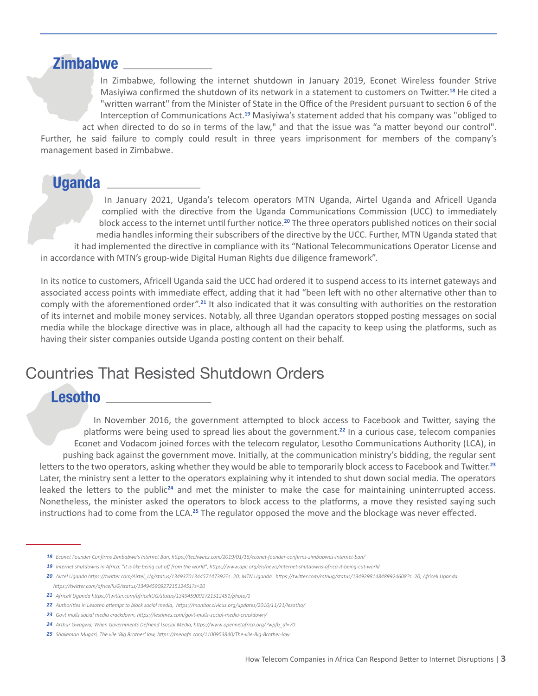#### **Zimbabwe**

In Zimbabwe, following the internet shutdown in January 2019, Econet Wireless founder Strive Masiyiwa confirmed the shutdown of its network in a statement to customers on Twitter.**18** He cited a "written warrant" from the Minister of State in the Office of the President pursuant to section 6 of the Interception of Communications Act.**19** Masiyiwa's statement added that his company was "obliged to act when directed to do so in terms of the law," and that the issue was "a matter beyond our control". Further, he said failure to comply could result in three years imprisonment for members of the company's management based in Zimbabwe.

## **Uganda**

In January 2021, Uganda's telecom operators MTN Uganda, Airtel Uganda and Africell Uganda complied with the directive from the Uganda Communications Commission (UCC) to immediately block access to the internet until further notice.**20** The three operators published notices on their social media handles informing their subscribers of the directive by the UCC. Further, MTN Uganda stated that it had implemented the directive in compliance with its "National Telecommunications Operator License and in accordance with MTN's group-wide Digital Human Rights due diligence framework".

In its notice to customers, Africell Uganda said the UCC had ordered it to suspend access to its internet gateways and associated access points with immediate effect, adding that it had "been left with no other alternative other than to comply with the aforementioned order".**21** It also indicated that it was consulting with authorities on the restoration of its internet and mobile money services. Notably, all three Ugandan operators stopped posting messages on social media while the blockage directive was in place, although all had the capacity to keep using the platforms, such as having their sister companies outside Uganda posting content on their behalf.

## Countries That Resisted Shutdown Orders

#### **Lesotho**

In November 2016, the government attempted to block access to Facebook and Twitter, saying the platforms were being used to spread lies about the government.**22** In a curious case, telecom companies Econet and Vodacom joined forces with the telecom regulator, Lesotho Communications Authority (LCA), in pushing back against the government move. Initially, at the communication ministry's bidding, the regular sent letters to the two operators, asking whether they would be able to temporarily block access to Facebook and Twitter.**<sup>23</sup>** Later, the ministry sent a letter to the operators explaining why it intended to shut down social media. The operators leaked the letters to the public**24** and met the minister to make the case for maintaining uninterrupted access. Nonetheless, the minister asked the operators to block access to the platforms, a move they resisted saying such instructions had to come from the LCA.**25** The regulator opposed the move and the blockage was never effected.

- *Econet Founder Confirms Zimbabwe's Internet Ban, https://techweez.com/2019/01/16/econet-founder-confirms-zimbabwes-internet-ban/ 18*
- 19 Internet shutdowns in Africa: "It is like being cut off from the world", https://www.apc.org/en/news/internet-shutdowns-africa-it-being-cut-world
- *Airtel Uganda https://twitter.com/Airtel\_Ug/status/1349370134457147392?s=20; MTN Uganda https://twitter.com/mtnug/status/1349298148489924608?s=20; Africell Uganda 20 https://twitter.com/africellUG/status/1349459092721512451?s=20*
- *Africell Uganda https://twitter.com/africellUG/status/1349459092721512451/photo/1 21*
- *Authorities in Lesotho attempt to block social media, https://monitor.civicus.org/updates/2016/11/21/lesotho/ 22*
- *Govt mulls social media crackdown, https://lestimes.com/govt-mulls-social-media-crackdown/ 23*
- *Arthur Gwagwa, When Governments Defriend \social Media, https://www.opennetafrica.org/?wpfb\_dl=70 24*
- *Shakeman Mugari, The vile 'Big Brother' law, https://menafn.com/1100953840/The-vile-Big-Brother-law 25*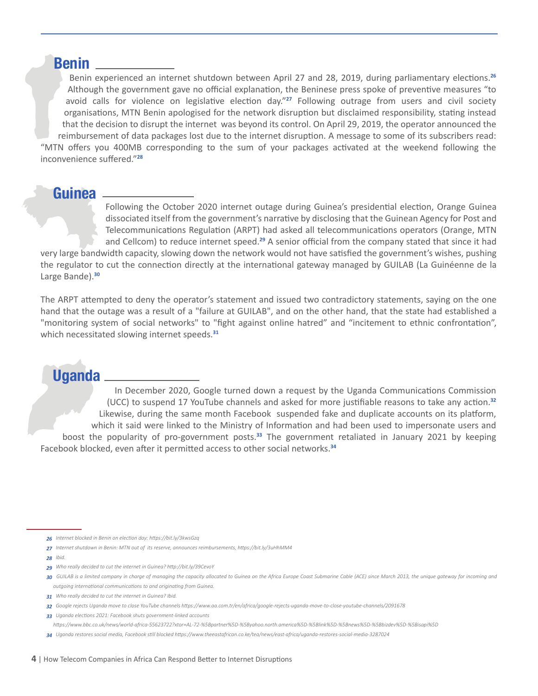#### **Benin**

Benin experienced an internet shutdown between April 27 and 28, 2019, during parliamentary elections.**<sup>26</sup>** Although the government gave no official explanation, the Beninese press spoke of preventive measures "to avoid calls for violence on legislative election day."**27** Following outrage from users and civil society organisations, MTN Benin apologised for the network disruption but disclaimed responsibility, stating instead that the decision to disrupt the internet was beyond its control. On April 29, 2019, the operator announced the reimbursement of data packages lost due to the internet disruption. A message to some of its subscribers read: "MTN offers you 400MB corresponding to the sum of your packages activated at the weekend following the inconvenience suffered."**<sup>28</sup>**

#### **Guinea**

Following the October 2020 internet outage during Guinea's presidential election, Orange Guinea dissociated itself from the government's narrative by disclosing that the Guinean Agency for Post and Telecommunications Regulation (ARPT) had asked all telecommunications operators (Orange, MTN and Cellcom) to reduce internet speed.**29** A senior official from the company stated that since it had

very large bandwidth capacity, slowing down the network would not have satisfied the government's wishes, pushing the regulator to cut the connection directly at the international gateway managed by GUILAB (La Guinéenne de la Large Bande).**<sup>30</sup>**

The ARPT attempted to deny the operator's statement and issued two contradictory statements, saying on the one hand that the outage was a result of a "failure at GUILAB", and on the other hand, that the state had established a "monitoring system of social networks" to "fight against online hatred" and "incitement to ethnic confrontation", which necessitated slowing internet speeds.**<sup>31</sup>**

## **Uganda**

In December 2020, Google turned down a request by the Uganda Communications Commission (UCC) to suspend 17 YouTube channels and asked for more justifiable reasons to take any action.**<sup>32</sup>** Likewise, during the same month Facebook suspended fake and duplicate accounts on its platform, which it said were linked to the Ministry of Information and had been used to impersonate users and boost the popularity of pro-government posts.**33** The government retaliated in January 2021 by keeping Facebook blocked, even after it permitted access to other social networks.**<sup>34</sup>**

- *Internet blocked in Benin on election day: https://bit.ly/3kwsGzq 26*
- *Internet shutdown in Benin: MTN out of its reserve, announces reimbursements, https://bit.ly/3uHhMM4 27*
- *Ibid. 28*
- *Who really decided to cut the internet in Guinea? http://bit.ly/39CevoY 29*
- *GUILAB is a limited company in charge of managing the capacity allocated to Guinea on the Africa Europe Coast Submarine Cable (ACE) since March 2013, the unique gateway for incoming and 30 outgoing international communications to and originating from Guinea.*
- *Who really decided to cut the internet in Guinea? Ibid. 31*
- *Google rejects Uganda move to close YouTube channels https://www.aa.com.tr/en/africa/google-rejects-uganda-move-to-close-youtube-channels/2091678 32*
- *Uganda elections 2021: Facebook shuts government-linked accounts 33*
- *https://www.bbc.co.uk/news/world-africa-55623722?xtor=AL-72-%5Bpartner%5D-%5Byahoo.north.america%5D-%5Blink%5D-%5Bnews%5D-%5Bbizdev%5D-%5Bisapi%5D*
- *Uganda restores social media, Facebook still blocked https://www.theeastafrican.co.ke/tea/news/east-africa/uganda-restores-social-media-3287024 34*